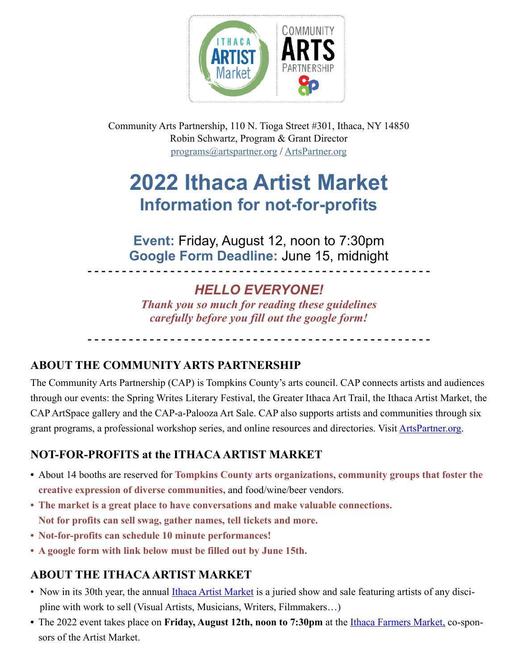

Community Arts Partnership, 110 N. Tioga Street #301, Ithaca, NY 14850 Robin Schwartz, Program & Grant Director [programs@artspartner.org](mailto:programs@artspartner.org) / [ArtsPartner.org](http://ArtsPartner.org)

# **2022 Ithaca Artist Market Information for not-for-profits**

**Event:** Friday, August 12, noon to 7:30pm **Google Form Deadline:** June 15, midnight

### *HELLO EVERYONE!*

**- - - - - - - - - - - - - - - - - - - - - - - - - - - - - - - - - - - - - - - - - - - - - - - - - -**

*Thank you so much for reading these guidelines carefully before you fill out the google form!*

**- - - - - - - - - - - - - - - - - - - - - - - - - - - - - - - - - - - - - - - - - - - - - - - - - -**

#### **ABOUT THE COMMUNITY ARTS PARTNERSHIP**

The Community Arts Partnership (CAP) is Tompkins County's arts council. CAP connects artists and audiences through our events: the Spring Writes Literary Festival, the Greater Ithaca Art Trail, the Ithaca Artist Market, the CAP ArtSpace gallery and the CAP-a-Palooza Art Sale. CAP also supports artists and communities through six grant programs, a professional workshop series, and online resources and directories. Visit [ArtsPartner.org](http://ArtsPartner.org).

#### **NOT-FOR-PROFITS at the ITHACA ARTIST MARKET**

- **•** About 14 booths are reserved for **Tompkins County arts organizations, community groups that foster the creative expression of diverse communities,** and food/wine/beer vendors.
- **• The market is a great place to have conversations and make valuable connections. Not for profits can sell swag, gather names, tell tickets and more.**
- **• Not-for-profits can schedule 10 minute performances!**
- **• A google form with link below must be filled out by June 15th.**

#### **ABOUT THE ITHACA ARTIST MARKET**

- Now in its 30th year, the annual *Ithaca Artist Market* is a juried show and sale featuring artists of any discipline with work to sell (Visual Artists, Musicians, Writers, Filmmakers…)
- The 2022 event takes place on Friday, August 12th, noon to 7:30pm at the *Ithaca Farmers Market*, co-sponsors of the Artist Market.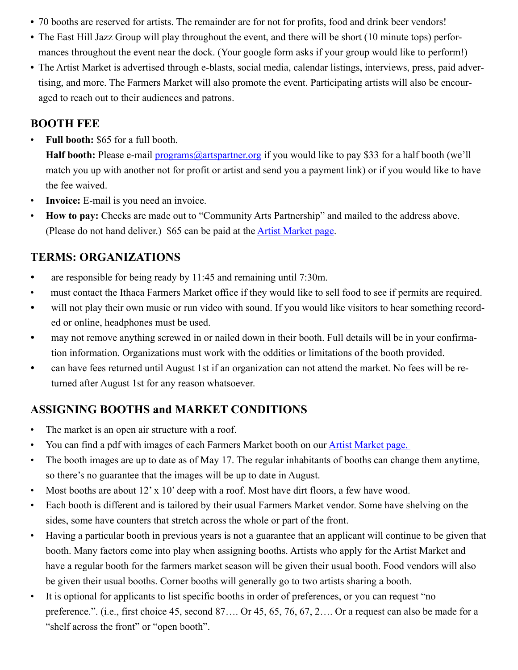- **•** 70 booths are reserved for artists. The remainder are for not for profits, food and drink beer vendors!
- **•** The East Hill Jazz Group will play throughout the event, and there will be short (10 minute tops) performances throughout the event near the dock. (Your google form asks if your group would like to perform!)
- **•** The Artist Market is advertised through e-blasts, social media, calendar listings, interviews, press, paid advertising, and more. The Farmers Market will also promote the event. Participating artists will also be encouraged to reach out to their audiences and patrons.

#### **BOOTH FEE**

• **Full booth:** \$65 for a full booth.

**Half booth:** Please e-mail [programs@artspartner.org](mailto:programs@artspartner.org) if you would like to pay \$33 for a half booth (we'll match you up with another not for profit or artist and send you a payment link) or if you would like to have the fee waived.

- **Invoice:** E-mail is you need an invoice.
- **How to pay:** Checks are made out to "Community Arts Partnership" and mailed to the address above. (Please do not hand deliver.) \$65 can be paid at the [Artist Market page.](https://artspartner.org/content/view/ithaca-artist-markets.html)

#### **TERMS: ORGANIZATIONS**

- are responsible for being ready by 11:45 and remaining until 7:30m.
- must contact the Ithaca Farmers Market office if they would like to sell food to see if permits are required.
- will not play their own music or run video with sound. If you would like visitors to hear something recorded or online, headphones must be used.
- may not remove anything screwed in or nailed down in their booth. Full details will be in your confirmation information. Organizations must work with the oddities or limitations of the booth provided.
- can have fees returned until August 1st if an organization can not attend the market. No fees will be returned after August 1st for any reason whatsoever.

#### **ASSIGNING BOOTHS and MARKET CONDITIONS**

- The market is an open air structure with a roof.
- You can find a pdf with images of each Farmers Market booth on our Artist Market page.
- The booth images are up to date as of May 17. The regular inhabitants of booths can change them anytime, so there's no guarantee that the images will be up to date in August.
- Most booths are about 12' x 10' deep with a roof. Most have dirt floors, a few have wood.
- Each booth is different and is tailored by their usual Farmers Market vendor. Some have shelving on the sides, some have counters that stretch across the whole or part of the front.
- Having a particular booth in previous years is not a guarantee that an applicant will continue to be given that booth. Many factors come into play when assigning booths. Artists who apply for the Artist Market and have a regular booth for the farmers market season will be given their usual booth. Food vendors will also be given their usual booths. Corner booths will generally go to two artists sharing a booth.
- It is optional for applicants to list specific booths in order of preferences, or you can request "no preference.". (i.e., first choice 45, second 87…. Or 45, 65, 76, 67, 2…. Or a request can also be made for a "shelf across the front" or "open booth".